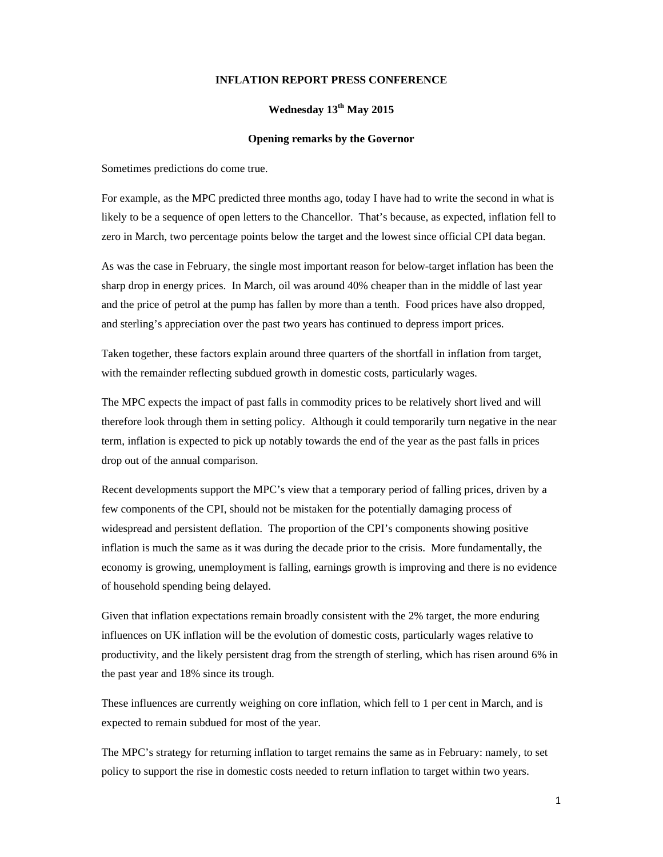## **INFLATION REPORT PRESS CONFERENCE**

## Wednesday  $13^{th}$  May 2015

## **Opening remarks by the Governor**

Sometimes predictions do come true.

For example, as the MPC predicted three months ago, today I have had to write the second in what is likely to be a sequence of open letters to the Chancellor. That's because, as expected, inflation fell to zero in March, two percentage points below the target and the lowest since official CPI data began.

As was the case in February, the single most important reason for below-target inflation has been the sharp drop in energy prices. In March, oil was around 40% cheaper than in the middle of last year and the price of petrol at the pump has fallen by more than a tenth. Food prices have also dropped, and sterling's appreciation over the past two years has continued to depress import prices.

Taken together, these factors explain around three quarters of the shortfall in inflation from target, with the remainder reflecting subdued growth in domestic costs, particularly wages.

The MPC expects the impact of past falls in commodity prices to be relatively short lived and will therefore look through them in setting policy. Although it could temporarily turn negative in the near term, inflation is expected to pick up notably towards the end of the year as the past falls in prices drop out of the annual comparison.

Recent developments support the MPC's view that a temporary period of falling prices, driven by a few components of the CPI, should not be mistaken for the potentially damaging process of widespread and persistent deflation. The proportion of the CPI's components showing positive inflation is much the same as it was during the decade prior to the crisis. More fundamentally, the economy is growing, unemployment is falling, earnings growth is improving and there is no evidence of household spending being delayed.

Given that inflation expectations remain broadly consistent with the 2% target, the more enduring influences on UK inflation will be the evolution of domestic costs, particularly wages relative to productivity, and the likely persistent drag from the strength of sterling, which has risen around 6% in the past year and 18% since its trough.

These influences are currently weighing on core inflation, which fell to 1 per cent in March, and is expected to remain subdued for most of the year.

The MPC's strategy for returning inflation to target remains the same as in February: namely, to set policy to support the rise in domestic costs needed to return inflation to target within two years.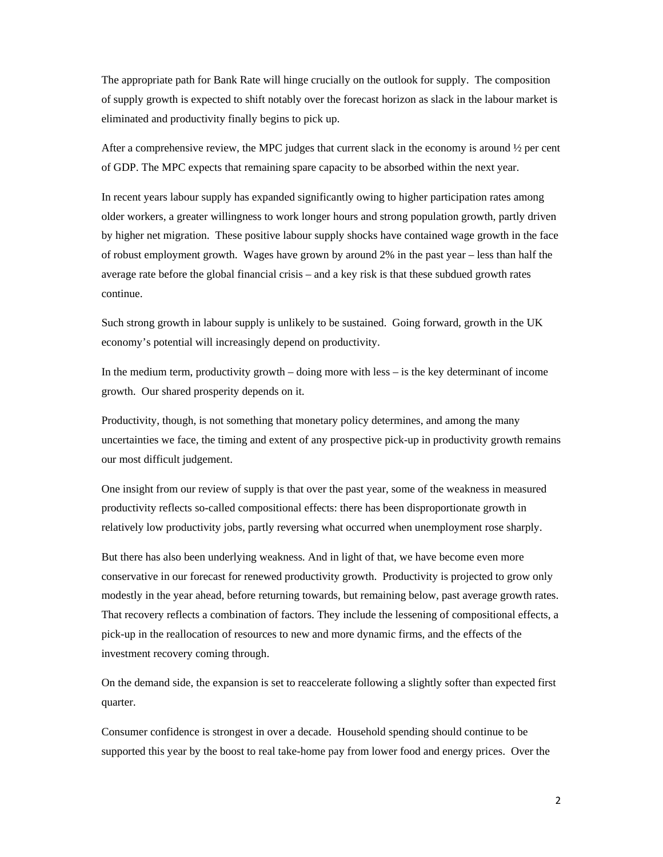The appropriate path for Bank Rate will hinge crucially on the outlook for supply. The composition of supply growth is expected to shift notably over the forecast horizon as slack in the labour market is eliminated and productivity finally begins to pick up.

After a comprehensive review, the MPC judges that current slack in the economy is around  $\frac{1}{2}$  per cent of GDP. The MPC expects that remaining spare capacity to be absorbed within the next year.

In recent years labour supply has expanded significantly owing to higher participation rates among older workers, a greater willingness to work longer hours and strong population growth, partly driven by higher net migration. These positive labour supply shocks have contained wage growth in the face of robust employment growth. Wages have grown by around 2% in the past year – less than half the average rate before the global financial crisis – and a key risk is that these subdued growth rates continue.

Such strong growth in labour supply is unlikely to be sustained. Going forward, growth in the UK economy's potential will increasingly depend on productivity.

In the medium term, productivity growth – doing more with less – is the key determinant of income growth. Our shared prosperity depends on it.

Productivity, though, is not something that monetary policy determines, and among the many uncertainties we face, the timing and extent of any prospective pick-up in productivity growth remains our most difficult judgement.

One insight from our review of supply is that over the past year, some of the weakness in measured productivity reflects so-called compositional effects: there has been disproportionate growth in relatively low productivity jobs, partly reversing what occurred when unemployment rose sharply.

But there has also been underlying weakness. And in light of that, we have become even more conservative in our forecast for renewed productivity growth. Productivity is projected to grow only modestly in the year ahead, before returning towards, but remaining below, past average growth rates. That recovery reflects a combination of factors. They include the lessening of compositional effects, a pick-up in the reallocation of resources to new and more dynamic firms, and the effects of the investment recovery coming through.

On the demand side, the expansion is set to reaccelerate following a slightly softer than expected first quarter.

Consumer confidence is strongest in over a decade. Household spending should continue to be supported this year by the boost to real take-home pay from lower food and energy prices. Over the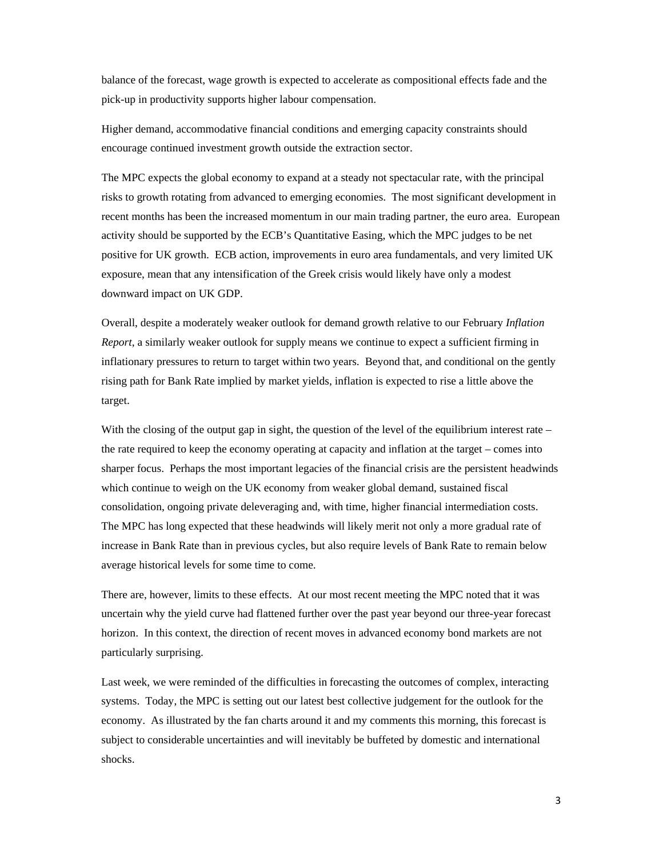balance of the forecast, wage growth is expected to accelerate as compositional effects fade and the pick-up in productivity supports higher labour compensation.

Higher demand, accommodative financial conditions and emerging capacity constraints should encourage continued investment growth outside the extraction sector.

The MPC expects the global economy to expand at a steady not spectacular rate, with the principal risks to growth rotating from advanced to emerging economies. The most significant development in recent months has been the increased momentum in our main trading partner, the euro area. European activity should be supported by the ECB's Quantitative Easing, which the MPC judges to be net positive for UK growth. ECB action, improvements in euro area fundamentals, and very limited UK exposure, mean that any intensification of the Greek crisis would likely have only a modest downward impact on UK GDP.

Overall, despite a moderately weaker outlook for demand growth relative to our February *Inflation Report*, a similarly weaker outlook for supply means we continue to expect a sufficient firming in inflationary pressures to return to target within two years. Beyond that, and conditional on the gently rising path for Bank Rate implied by market yields, inflation is expected to rise a little above the target.

With the closing of the output gap in sight, the question of the level of the equilibrium interest rate – the rate required to keep the economy operating at capacity and inflation at the target – comes into sharper focus. Perhaps the most important legacies of the financial crisis are the persistent headwinds which continue to weigh on the UK economy from weaker global demand, sustained fiscal consolidation, ongoing private deleveraging and, with time, higher financial intermediation costs. The MPC has long expected that these headwinds will likely merit not only a more gradual rate of increase in Bank Rate than in previous cycles, but also require levels of Bank Rate to remain below average historical levels for some time to come.

There are, however, limits to these effects. At our most recent meeting the MPC noted that it was uncertain why the yield curve had flattened further over the past year beyond our three-year forecast horizon. In this context, the direction of recent moves in advanced economy bond markets are not particularly surprising.

Last week, we were reminded of the difficulties in forecasting the outcomes of complex, interacting systems. Today, the MPC is setting out our latest best collective judgement for the outlook for the economy. As illustrated by the fan charts around it and my comments this morning, this forecast is subject to considerable uncertainties and will inevitably be buffeted by domestic and international shocks.